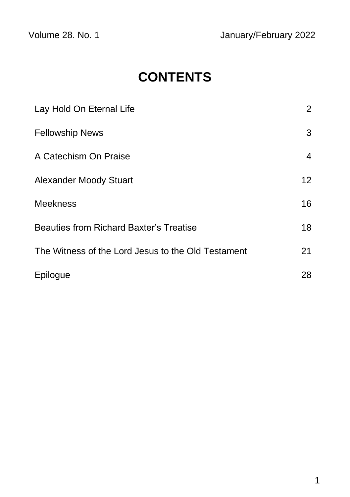# **CONTENTS**

| Lay Hold On Eternal Life                           | $\overline{2}$ |
|----------------------------------------------------|----------------|
| <b>Fellowship News</b>                             | 3              |
| A Catechism On Praise                              | 4              |
| <b>Alexander Moody Stuart</b>                      | 12             |
| <b>Meekness</b>                                    | 16             |
| <b>Beauties from Richard Baxter's Treatise</b>     | 18             |
| The Witness of the Lord Jesus to the Old Testament | 21             |
| Epilogue                                           | 28             |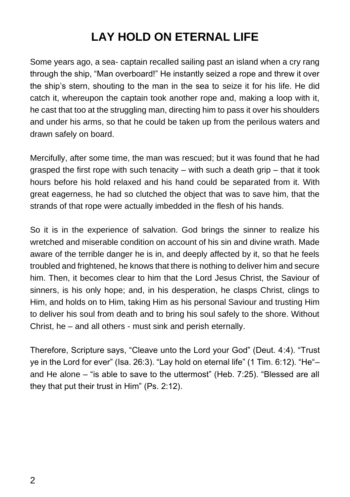## **LAY HOLD ON ETERNAL LIFE**

Some years ago, a sea- captain recalled sailing past an island when a cry rang through the ship, "Man overboard!" He instantly seized a rope and threw it over the ship's stern, shouting to the man in the sea to seize it for his life. He did catch it, whereupon the captain took another rope and, making a loop with it, he cast that too at the struggling man, directing him to pass it over his shoulders and under his arms, so that he could be taken up from the perilous waters and drawn safely on board.

Mercifully, after some time, the man was rescued; but it was found that he had grasped the first rope with such tenacity – with such a death grip – that it took hours before his hold relaxed and his hand could be separated from it. With great eagerness, he had so clutched the object that was to save him, that the strands of that rope were actually imbedded in the flesh of his hands.

So it is in the experience of salvation. God brings the sinner to realize his wretched and miserable condition on account of his sin and divine wrath. Made aware of the terrible danger he is in, and deeply affected by it, so that he feels troubled and frightened, he knows that there is nothing to deliver him and secure him. Then, it becomes clear to him that the Lord Jesus Christ, the Saviour of sinners, is his only hope; and, in his desperation, he clasps Christ, clings to Him, and holds on to Him, taking Him as his personal Saviour and trusting Him to deliver his soul from death and to bring his soul safely to the shore. Without Christ, he – and all others - must sink and perish eternally.

Therefore, Scripture says, "Cleave unto the Lord your God" (Deut. 4:4). "Trust ye in the Lord for ever" (Isa. 26:3). "Lay hold on eternal life" (1 Tim. 6:12). "He"– and He alone – "is able to save to the uttermost" (Heb. 7:25). "Blessed are all they that put their trust in Him" (Ps. 2:12).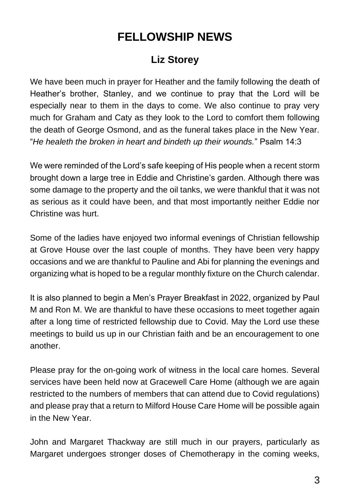## **FELLOWSHIP NEWS**

### **Liz Storey**

We have been much in prayer for Heather and the family following the death of Heather's brother, Stanley, and we continue to pray that the Lord will be especially near to them in the days to come. We also continue to pray very much for Graham and Caty as they look to the Lord to comfort them following the death of George Osmond, and as the funeral takes place in the New Year. "*He healeth the broken in heart and bindeth up their wounds.*" Psalm 14:3

We were reminded of the Lord's safe keeping of His people when a recent storm brought down a large tree in Eddie and Christine's garden. Although there was some damage to the property and the oil tanks, we were thankful that it was not as serious as it could have been, and that most importantly neither Eddie nor Christine was hurt.

Some of the ladies have enjoyed two informal evenings of Christian fellowship at Grove House over the last couple of months. They have been very happy occasions and we are thankful to Pauline and Abi for planning the evenings and organizing what is hoped to be a regular monthly fixture on the Church calendar.

It is also planned to begin a Men's Prayer Breakfast in 2022, organized by Paul M and Ron M. We are thankful to have these occasions to meet together again after a long time of restricted fellowship due to Covid. May the Lord use these meetings to build us up in our Christian faith and be an encouragement to one another.

Please pray for the on-going work of witness in the local care homes. Several services have been held now at Gracewell Care Home (although we are again restricted to the numbers of members that can attend due to Covid regulations) and please pray that a return to Milford House Care Home will be possible again in the New Year.

John and Margaret Thackway are still much in our prayers, particularly as Margaret undergoes stronger doses of Chemotherapy in the coming weeks,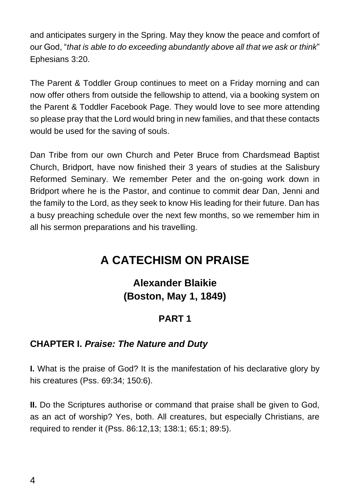and anticipates surgery in the Spring. May they know the peace and comfort of our God, "*that is able to do exceeding abundantly above all that we ask or think*" Ephesians 3:20.

The Parent & Toddler Group continues to meet on a Friday morning and can now offer others from outside the fellowship to attend, via a booking system on the Parent & Toddler Facebook Page. They would love to see more attending so please pray that the Lord would bring in new families, and that these contacts would be used for the saving of souls.

Dan Tribe from our own Church and Peter Bruce from Chardsmead Baptist Church, Bridport, have now finished their 3 years of studies at the Salisbury Reformed Seminary. We remember Peter and the on-going work down in Bridport where he is the Pastor, and continue to commit dear Dan, Jenni and the family to the Lord, as they seek to know His leading for their future. Dan has a busy preaching schedule over the next few months, so we remember him in all his sermon preparations and his travelling.

## **A CATECHISM ON PRAISE**

### **Alexander Blaikie (Boston, May 1, 1849)**

#### **PART 1**

#### **CHAPTER I.** *Praise: The Nature and Duty*

**I.** What is the praise of God? It is the manifestation of his declarative glory by his creatures (Pss. 69:34; 150:6).

**II.** Do the Scriptures authorise or command that praise shall be given to God, as an act of worship? Yes, both. All creatures, but especially Christians, are required to render it (Pss. 86:12,13; 138:1; 65:1; 89:5).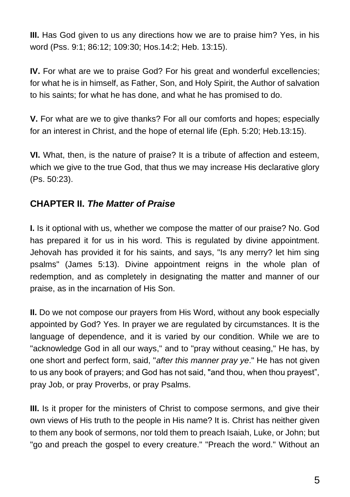**III.** Has God given to us any directions how we are to praise him? Yes, in his word (Pss. 9:1; 86:12; 109:30; Hos.14:2; Heb. 13:15).

**IV.** For what are we to praise God? For his great and wonderful excellencies; for what he is in himself, as Father, Son, and Holy Spirit, the Author of salvation to his saints; for what he has done, and what he has promised to do.

**V.** For what are we to give thanks? For all our comforts and hopes; especially for an interest in Christ, and the hope of eternal life (Eph. 5:20; Heb.13:15).

**VI.** What, then, is the nature of praise? It is a tribute of affection and esteem, which we give to the true God, that thus we may increase His declarative glory (Ps. 50:23).

### **CHAPTER II.** *The Matter of Praise*

**I.** Is it optional with us, whether we compose the matter of our praise? No. God has prepared it for us in his word. This is regulated by divine appointment. Jehovah has provided it for his saints, and says, "Is any merry? let him sing psalms" (James 5:13). Divine appointment reigns in the whole plan of redemption, and as completely in designating the matter and manner of our praise, as in the incarnation of His Son.

**II.** Do we not compose our prayers from His Word, without any book especially appointed by God? Yes. In prayer we are regulated by circumstances. It is the language of dependence, and it is varied by our condition. While we are to "acknowledge God in all our ways," and to "pray without ceasing," He has, by one short and perfect form, said, "*after this manner pray ye*." He has not given to us any book of prayers; and God has not said, "and thou, when thou prayest", pray Job, or pray Proverbs, or pray Psalms.

**III.** Is it proper for the ministers of Christ to compose sermons, and give their own views of His truth to the people in His name? It is. Christ has neither given to them any book of sermons, nor told them to preach Isaiah, Luke, or John; but "go and preach the gospel to every creature." "Preach the word." Without an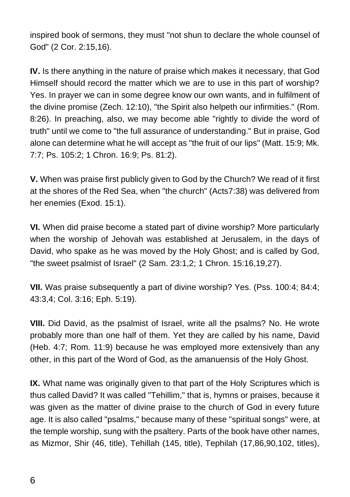inspired book of sermons, they must "not shun to declare the whole counsel of God" (2 Cor. 2:15,16).

**IV.** Is there anything in the nature of praise which makes it necessary, that God Himself should record the matter which we are to use in this part of worship? Yes. In prayer we can in some degree know our own wants, and in fulfilment of the divine promise (Zech. 12:10), "the Spirit also helpeth our infirmities." (Rom. 8:26). In preaching, also, we may become able "rightly to divide the word of truth" until we come to "the full assurance of understanding." But in praise, God alone can determine what he will accept as "the fruit of our lips" (Matt. 15:9; Mk. 7:7; Ps. 105:2; 1 Chron. 16:9; Ps. 81:2).

**V.** When was praise first publicly given to God by the Church? We read of it first at the shores of the Red Sea, when "the church" (Acts7:38) was delivered from her enemies (Exod. 15:1).

**VI.** When did praise become a stated part of divine worship? More particularly when the worship of Jehovah was established at Jerusalem, in the days of David, who spake as he was moved by the Holy Ghost; and is called by God, "the sweet psalmist of Israel" (2 Sam. 23:1,2; 1 Chron. 15:16,19,27).

**VII.** Was praise subsequently a part of divine worship? Yes. (Pss. 100:4; 84:4; 43:3,4; Col. 3:16; Eph. 5:19).

**VIII.** Did David, as the psalmist of Israel, write all the psalms? No. He wrote probably more than one half of them. Yet they are called by his name, David (Heb. 4:7; Rom. 11:9) because he was employed more extensively than any other, in this part of the Word of God, as the amanuensis of the Holy Ghost.

**IX.** What name was originally given to that part of the Holy Scriptures which is thus called David? It was called "Tehillim," that is, hymns or praises, because it was given as the matter of divine praise to the church of God in every future age. It is also called "psalms," because many of these "spiritual songs" were, at the temple worship, sung with the psaltery. Parts of the book have other names, as Mizmor, Shir (46, title), Tehillah (145, title), Tephilah (17,86,90,102, titles),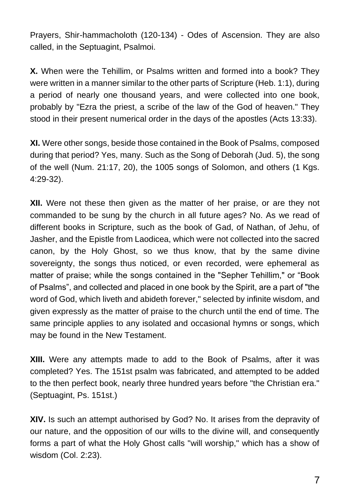Prayers, Shir-hammacholoth (120-134) - Odes of Ascension. They are also called, in the Septuagint, Psalmoi.

**X.** When were the Tehillim, or Psalms written and formed into a book? They were written in a manner similar to the other parts of Scripture (Heb. 1:1), during a period of nearly one thousand years, and were collected into one book, probably by "Ezra the priest, a scribe of the law of the God of heaven." They stood in their present numerical order in the days of the apostles (Acts 13:33).

**XI.** Were other songs, beside those contained in the Book of Psalms, composed during that period? Yes, many. Such as the Song of Deborah (Jud. 5), the song of the well (Num. 21:17, 20), the 1005 songs of Solomon, and others (1 Kgs. 4:29-32).

**XII.** Were not these then given as the matter of her praise, or are they not commanded to be sung by the church in all future ages? No. As we read of different books in Scripture, such as the book of Gad, of Nathan, of Jehu, of Jasher, and the Epistle from Laodicea, which were not collected into the sacred canon, by the Holy Ghost, so we thus know, that by the same divine sovereignty, the songs thus noticed, or even recorded, were ephemeral as matter of praise; while the songs contained in the "Sepher Tehillim," or "Book of Psalms", and collected and placed in one book by the Spirit, are a part of "the word of God, which liveth and abideth forever," selected by infinite wisdom, and given expressly as the matter of praise to the church until the end of time. The same principle applies to any isolated and occasional hymns or songs, which may be found in the New Testament.

**XIII.** Were any attempts made to add to the Book of Psalms, after it was completed? Yes. The 151st psalm was fabricated, and attempted to be added to the then perfect book, nearly three hundred years before "the Christian era." (Septuagint, Ps. 151st.)

**XIV.** Is such an attempt authorised by God? No. It arises from the depravity of our nature, and the opposition of our wills to the divine will, and consequently forms a part of what the Holy Ghost calls "will worship," which has a show of wisdom (Col. 2:23).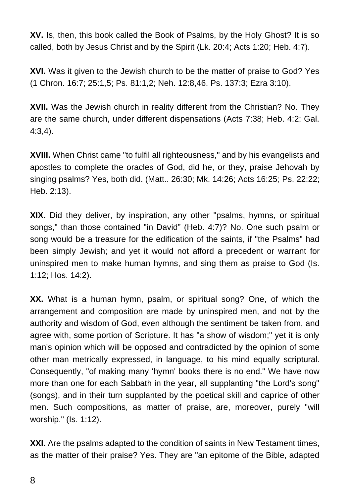**XV.** Is, then, this book called the Book of Psalms, by the Holy Ghost? It is so called, both by Jesus Christ and by the Spirit (Lk. 20:4; Acts 1:20; Heb. 4:7).

**XVI.** Was it given to the Jewish church to be the matter of praise to God? Yes (1 Chron. 16:7; 25:1,5; Ps. 81:1,2; Neh. 12:8,46. Ps. 137:3; Ezra 3:10).

**XVII.** Was the Jewish church in reality different from the Christian? No. They are the same church, under different dispensations (Acts 7:38; Heb. 4:2; Gal. 4:3,4).

**XVIII.** When Christ came "to fulfil all righteousness," and by his evangelists and apostles to complete the oracles of God, did he, or they, praise Jehovah by singing psalms? Yes, both did. (Matt.. 26:30; Mk. 14:26; Acts 16:25; Ps. 22:22; Heb. 2:13).

**XIX.** Did they deliver, by inspiration, any other "psalms, hymns, or spiritual songs," than those contained "in David" (Heb. 4:7)? No. One such psalm or song would be a treasure for the edification of the saints, if "the Psalms" had been simply Jewish; and yet it would not afford a precedent or warrant for uninspired men to make human hymns, and sing them as praise to God (Is. 1:12; Hos. 14:2).

**XX.** What is a human hymn, psalm, or spiritual song? One, of which the arrangement and composition are made by uninspired men, and not by the authority and wisdom of God, even although the sentiment be taken from, and agree with, some portion of Scripture. It has "a show of wisdom;" yet it is only man's opinion which will be opposed and contradicted by the opinion of some other man metrically expressed, in language, to his mind equally scriptural. Consequently, "of making many 'hymn' books there is no end." We have now more than one for each Sabbath in the year, all supplanting "the Lord's song" (songs), and in their turn supplanted by the poetical skill and caprice of other men. Such compositions, as matter of praise, are, moreover, purely "will worship." (Is. 1:12).

**XXI.** Are the psalms adapted to the condition of saints in New Testament times, as the matter of their praise? Yes. They are "an epitome of the Bible, adapted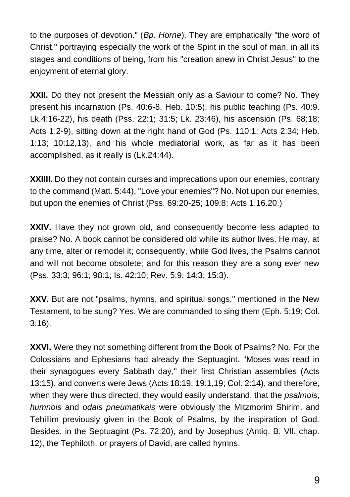to the purposes of devotion." (*Bp. Horne*). They are emphatically "the word of Christ," portraying especially the work of the Spirit in the soul of man, in all its stages and conditions of being, from his "creation anew in Christ Jesus" to the enjoyment of eternal glory.

**XXII.** Do they not present the Messiah only as a Saviour to come? No. They present his incarnation (Ps. 40:6-8. Heb. 10:5), his public teaching (Ps. 40:9. Lk.4:16-22), his death (Pss. 22:1; 31:5; Lk. 23:46), his ascension (Ps. 68:18; Acts 1:2-9), sitting down at the right hand of God (Ps. 110:1; Acts 2:34; Heb. 1:13; 10:12,13), and his whole mediatorial work, as far as it has been accomplished, as it really is (Lk.24:44).

**XXIIII.** Do they not contain curses and imprecations upon our enemies, contrary to the command (Matt. 5:44), "Love your enemies"? No. Not upon our enemies, but upon the enemies of Christ (Pss. 69:20-25; 109:8; Acts 1:16.20.)

**XXIV.** Have they not grown old, and consequently become less adapted to praise? No. A book cannot be considered old while its author lives. He may, at any time, alter or remodel it; consequently, while God lives, the Psalms cannot and will not become obsolete; and for this reason they are a song ever new (Pss. 33:3; 96:1; 98:1; Is. 42:10; Rev. 5:9; 14:3; 15:3).

**XXV.** But are not "psalms, hymns, and spiritual songs," mentioned in the New Testament, to be sung? Yes. We are commanded to sing them (Eph. 5:19; Col. 3:16).

**XXVI.** Were they not something different from the Book of Psalms? No. For the Colossians and Ephesians had already the Septuagint. "Moses was read in their synagogues every Sabbath day," their first Christian assemblies (Acts 13:15), and converts were Jews (Acts 18:19; 19:1,19; Col. 2:14), and therefore, when they were thus directed, they would easily understand, that the *psalmois*, *humnois* and *odais pneumatikais* were obviously the Mitzmorim Shirim, and Tehillim previously given in the Book of Psalms, by the inspiration of God. Besides, in the Septuagint (Ps. 72:20), and by Josephus (Antiq. B. VIl. chap. 12), the Tephiloth, or prayers of David, are called hymns.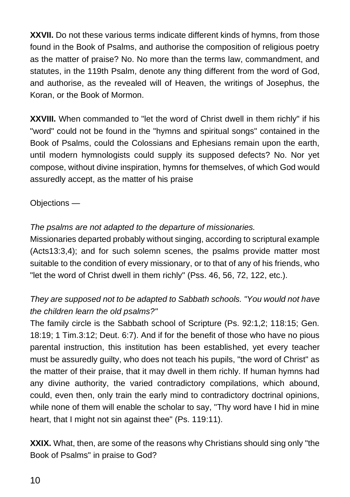**XXVII.** Do not these various terms indicate different kinds of hymns, from those found in the Book of Psalms, and authorise the composition of religious poetry as the matter of praise? No. No more than the terms law, commandment, and statutes, in the 119th Psalm, denote any thing different from the word of God, and authorise, as the revealed will of Heaven, the writings of Josephus, the Koran, or the Book of Mormon.

**XXVIII.** When commanded to "let the word of Christ dwell in them richly" if his "word" could not be found in the "hymns and spiritual songs" contained in the Book of Psalms, could the Colossians and Ephesians remain upon the earth, until modern hymnologists could supply its supposed defects? No. Nor yet compose, without divine inspiration, hymns for themselves, of which God would assuredly accept, as the matter of his praise

Objections —

*The psalms are not adapted to the departure of missionaries.*

Missionaries departed probably without singing, according to scriptural example (Acts13:3,4); and for such solemn scenes, the psalms provide matter most suitable to the condition of every missionary, or to that of any of his friends, who "let the word of Christ dwell in them richly" (Pss. 46, 56, 72, 122, etc.).

### *They are supposed not to be adapted to Sabbath schools. "You would not have the children learn the old psalms?"*

The family circle is the Sabbath school of Scripture (Ps. 92:1,2; 118:15; Gen. 18:19; 1 Tim.3:12; Deut. 6:7). And if for the benefit of those who have no pious parental instruction, this institution has been established, yet every teacher must be assuredly guilty, who does not teach his pupils, "the word of Christ" as the matter of their praise, that it may dwell in them richly. If human hymns had any divine authority, the varied contradictory compilations, which abound, could, even then, only train the early mind to contradictory doctrinal opinions, while none of them will enable the scholar to say, "Thy word have I hid in mine heart, that I might not sin against thee" (Ps. 119:11).

**XXIX.** What, then, are some of the reasons why Christians should sing only "the Book of Psalms" in praise to God?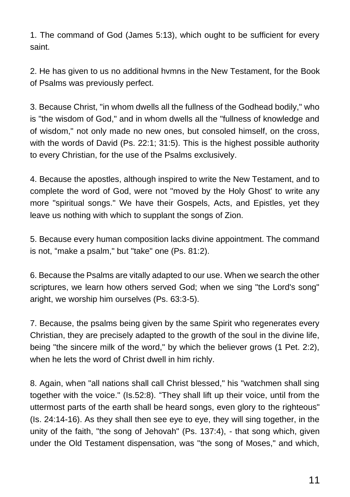1. The command of God (James 5:13), which ought to be sufficient for every saint.

2. He has given to us no additional hvmns in the New Testament, for the Book of Psalms was previously perfect.

3. Because Christ, "in whom dwells all the fullness of the Godhead bodily," who is "the wisdom of God," and in whom dwells all the "fullness of knowledge and of wisdom," not only made no new ones, but consoled himself, on the cross, with the words of David (Ps. 22:1; 31:5). This is the highest possible authority to every Christian, for the use of the Psalms exclusively.

4. Because the apostles, although inspired to write the New Testament, and to complete the word of God, were not "moved by the Holy Ghost' to write any more "spiritual songs." We have their Gospels, Acts, and Epistles, yet they leave us nothing with which to supplant the songs of Zion.

5. Because every human composition lacks divine appointment. The command is not, "make a psalm," but "take" one (Ps. 81:2).

6. Because the Psalms are vitally adapted to our use. When we search the other scriptures, we learn how others served God; when we sing "the Lord's song" aright, we worship him ourselves (Ps. 63:3-5).

7. Because, the psalms being given by the same Spirit who regenerates every Christian, they are precisely adapted to the growth of the soul in the divine life, being "the sincere milk of the word," by which the believer grows (1 Pet. 2:2), when he lets the word of Christ dwell in him richly.

8. Again, when "all nations shall call Christ blessed," his "watchmen shall sing together with the voice." (Is.52:8). "They shall lift up their voice, until from the uttermost parts of the earth shall be heard songs, even glory to the righteous" (Is. 24:14-16). As they shall then see eye to eye, they will sing together, in the unity of the faith, "the song of Jehovah" (Ps. 137:4), - that song which, given under the Old Testament dispensation, was "the song of Moses," and which,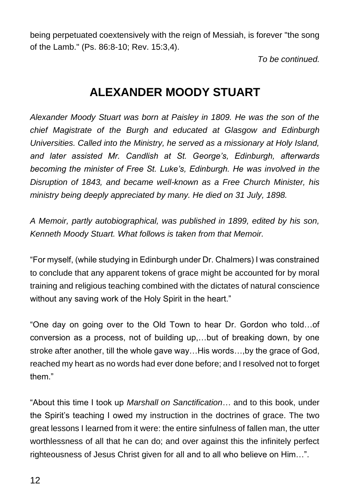being perpetuated coextensively with the reign of Messiah, is forever "the song of the Lamb." (Ps. 86:8-10; Rev. 15:3,4).

*To be continued.*

## **ALEXANDER MOODY STUART**

*Alexander Moody Stuart was born at Paisley in 1809. He was the son of the chief Magistrate of the Burgh and educated at Glasgow and Edinburgh Universities. Called into the Ministry, he served as a missionary at Holy Island, and later assisted Mr. Candlish at St. George's, Edinburgh, afterwards becoming the minister of Free St. Luke's, Edinburgh. He was involved in the Disruption of 1843, and became well-known as a Free Church Minister, his ministry being deeply appreciated by many. He died on 31 July, 1898.*

*A Memoir, partly autobiographical, was published in 1899, edited by his son, Kenneth Moody Stuart. What follows is taken from that Memoir.* 

"For myself, (while studying in Edinburgh under Dr. Chalmers) I was constrained to conclude that any apparent tokens of grace might be accounted for by moral training and religious teaching combined with the dictates of natural conscience without any saving work of the Holy Spirit in the heart."

"One day on going over to the Old Town to hear Dr. Gordon who told…of conversion as a process, not of building up,…but of breaking down, by one stroke after another, till the whole gave way…His words…,by the grace of God, reached my heart as no words had ever done before; and I resolved not to forget them."

"About this time I took up *Marshall on Sanctification*… and to this book, under the Spirit's teaching I owed my instruction in the doctrines of grace. The two great lessons I learned from it were: the entire sinfulness of fallen man, the utter worthlessness of all that he can do; and over against this the infinitely perfect righteousness of Jesus Christ given for all and to all who believe on Him…".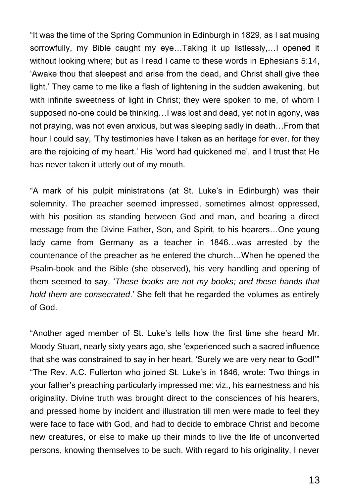"It was the time of the Spring Communion in Edinburgh in 1829, as I sat musing sorrowfully, my Bible caught my eye…Taking it up listlessly,…I opened it without looking where; but as I read I came to these words in Ephesians 5:14, 'Awake thou that sleepest and arise from the dead, and Christ shall give thee light.' They came to me like a flash of lightening in the sudden awakening, but with infinite sweetness of light in Christ; they were spoken to me, of whom I supposed no-one could be thinking…I was lost and dead, yet not in agony, was not praying, was not even anxious, but was sleeping sadly in death…From that hour I could say, 'Thy testimonies have I taken as an heritage for ever, for they are the rejoicing of my heart.' His 'word had quickened me', and I trust that He has never taken it utterly out of my mouth.

"A mark of his pulpit ministrations (at St. Luke's in Edinburgh) was their solemnity. The preacher seemed impressed, sometimes almost oppressed, with his position as standing between God and man, and bearing a direct message from the Divine Father, Son, and Spirit, to his hearers…One young lady came from Germany as a teacher in 1846…was arrested by the countenance of the preacher as he entered the church…When he opened the Psalm-book and the Bible (she observed), his very handling and opening of them seemed to say, '*These books are not my books; and these hands that hold them are consecrated*.' She felt that he regarded the volumes as entirely of God.

"Another aged member of St. Luke's tells how the first time she heard Mr. Moody Stuart, nearly sixty years ago, she 'experienced such a sacred influence that she was constrained to say in her heart, 'Surely we are very near to God!'" "The Rev. A.C. Fullerton who joined St. Luke's in 1846, wrote: Two things in your father's preaching particularly impressed me: viz., his earnestness and his originality. Divine truth was brought direct to the consciences of his hearers, and pressed home by incident and illustration till men were made to feel they were face to face with God, and had to decide to embrace Christ and become new creatures, or else to make up their minds to live the life of unconverted persons, knowing themselves to be such. With regard to his originality, I never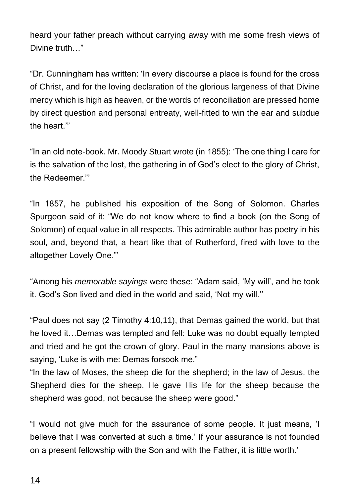heard your father preach without carrying away with me some fresh views of Divine truth <sup>»</sup>

"Dr. Cunningham has written: 'In every discourse a place is found for the cross of Christ, and for the loving declaration of the glorious largeness of that Divine mercy which is high as heaven, or the words of reconciliation are pressed home by direct question and personal entreaty, well-fitted to win the ear and subdue the heart.'"

"In an old note-book. Mr. Moody Stuart wrote (in 1855): 'The one thing I care for is the salvation of the lost, the gathering in of God's elect to the glory of Christ, the Redeemer."

"In 1857, he published his exposition of the Song of Solomon. Charles Spurgeon said of it: "We do not know where to find a book (on the Song of Solomon) of equal value in all respects. This admirable author has poetry in his soul, and, beyond that, a heart like that of Rutherford, fired with love to the altogether Lovely One."'

"Among his *memorable sayings* were these: "Adam said, 'My will', and he took it. God's Son lived and died in the world and said, 'Not my will.''

"Paul does not say (2 Timothy 4:10,11), that Demas gained the world, but that he loved it…Demas was tempted and fell: Luke was no doubt equally tempted and tried and he got the crown of glory. Paul in the many mansions above is saying, 'Luke is with me: Demas forsook me."

"In the law of Moses, the sheep die for the shepherd; in the law of Jesus, the Shepherd dies for the sheep. He gave His life for the sheep because the shepherd was good, not because the sheep were good."

"I would not give much for the assurance of some people. It just means, 'I believe that I was converted at such a time.' If your assurance is not founded on a present fellowship with the Son and with the Father, it is little worth.'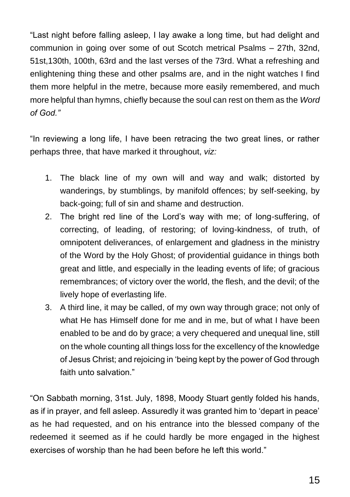"Last night before falling asleep, I lay awake a long time, but had delight and communion in going over some of out Scotch metrical Psalms – 27th, 32nd, 51st,130th, 100th, 63rd and the last verses of the 73rd. What a refreshing and enlightening thing these and other psalms are, and in the night watches I find them more helpful in the metre, because more easily remembered, and much more helpful than hymns, chiefly because the soul can rest on them as the *Word of God."*

"In reviewing a long life, I have been retracing the two great lines, or rather perhaps three, that have marked it throughout, *viz:*

- 1. The black line of my own will and way and walk; distorted by wanderings, by stumblings, by manifold offences; by self-seeking, by back-going; full of sin and shame and destruction.
- 2. The bright red line of the Lord's way with me; of long-suffering, of correcting, of leading, of restoring; of loving-kindness, of truth, of omnipotent deliverances, of enlargement and gladness in the ministry of the Word by the Holy Ghost; of providential guidance in things both great and little, and especially in the leading events of life; of gracious remembrances; of victory over the world, the flesh, and the devil; of the lively hope of everlasting life.
- 3. A third line, it may be called, of my own way through grace; not only of what He has Himself done for me and in me, but of what I have been enabled to be and do by grace; a very chequered and unequal line, still on the whole counting all things loss for the excellency of the knowledge of Jesus Christ; and rejoicing in 'being kept by the power of God through faith unto salvation."

"On Sabbath morning, 31st. July, 1898, Moody Stuart gently folded his hands, as if in prayer, and fell asleep. Assuredly it was granted him to 'depart in peace' as he had requested, and on his entrance into the blessed company of the redeemed it seemed as if he could hardly be more engaged in the highest exercises of worship than he had been before he left this world."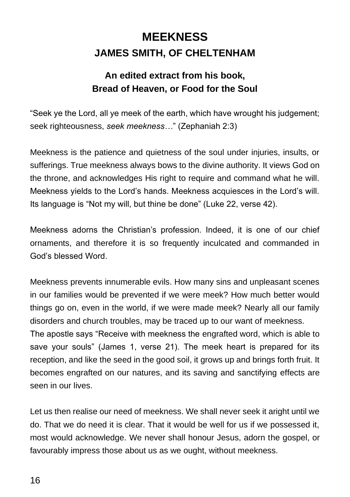## **MEEKNESS JAMES SMITH, OF CHELTENHAM**

### **An edited extract from his book, Bread of Heaven, or Food for the Soul**

"Seek ye the Lord, all ye meek of the earth, which have wrought his judgement; seek righteousness, *seek meekness…*" (Zephaniah 2:3)

Meekness is the patience and quietness of the soul under injuries, insults, or sufferings. True meekness always bows to the divine authority. It views God on the throne, and acknowledges His right to require and command what he will. Meekness yields to the Lord's hands. Meekness acquiesces in the Lord's will. Its language is "Not my will, but thine be done" (Luke 22, verse 42).

Meekness adorns the Christian's profession. Indeed, it is one of our chief ornaments, and therefore it is so frequently inculcated and commanded in God's blessed Word.

Meekness prevents innumerable evils. How many sins and unpleasant scenes in our families would be prevented if we were meek? How much better would things go on, even in the world, if we were made meek? Nearly all our family disorders and church troubles, may be traced up to our want of meekness. The apostle says "Receive with meekness the engrafted word, which is able to save your souls" (James 1, verse 21). The meek heart is prepared for its reception, and like the seed in the good soil, it grows up and brings forth fruit. It becomes engrafted on our natures, and its saving and sanctifying effects are seen in our lives.

Let us then realise our need of meekness. We shall never seek it aright until we do. That we do need it is clear. That it would be well for us if we possessed it, most would acknowledge. We never shall honour Jesus, adorn the gospel, or favourably impress those about us as we ought, without meekness.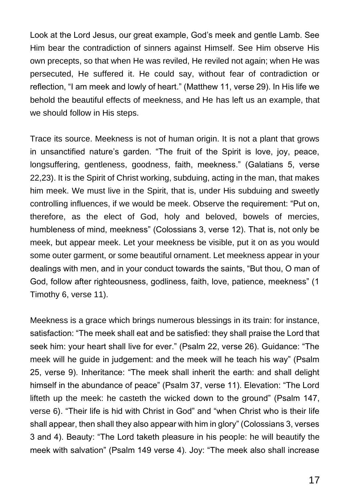Look at the Lord Jesus, our great example, God's meek and gentle Lamb. See Him bear the contradiction of sinners against Himself. See Him observe His own precepts, so that when He was reviled, He reviled not again; when He was persecuted, He suffered it. He could say, without fear of contradiction or reflection, "I am meek and lowly of heart." (Matthew 11, verse 29). In His life we behold the beautiful effects of meekness, and He has left us an example, that we should follow in His steps.

Trace its source. Meekness is not of human origin. It is not a plant that grows in unsanctified nature's garden. "The fruit of the Spirit is love, joy, peace, longsuffering, gentleness, goodness, faith, meekness." (Galatians 5, verse 22,23). It is the Spirit of Christ working, subduing, acting in the man, that makes him meek. We must live in the Spirit, that is, under His subduing and sweetly controlling influences, if we would be meek. Observe the requirement: "Put on, therefore, as the elect of God, holy and beloved, bowels of mercies, humbleness of mind, meekness" (Colossians 3, verse 12). That is, not only be meek, but appear meek. Let your meekness be visible, put it on as you would some outer garment, or some beautiful ornament. Let meekness appear in your dealings with men, and in your conduct towards the saints, "But thou, O man of God, follow after righteousness, godliness, faith, love, patience, meekness" (1 Timothy 6, verse 11).

Meekness is a grace which brings numerous blessings in its train: for instance, satisfaction: "The meek shall eat and be satisfied: they shall praise the Lord that seek him: your heart shall live for ever." (Psalm 22, verse 26). Guidance: "The meek will he guide in judgement: and the meek will he teach his way" (Psalm 25, verse 9). Inheritance: "The meek shall inherit the earth: and shall delight himself in the abundance of peace" (Psalm 37, verse 11). Elevation: "The Lord lifteth up the meek: he casteth the wicked down to the ground" (Psalm 147, verse 6). "Their life is hid with Christ in God" and "when Christ who is their life shall appear, then shall they also appear with him in glory" (Colossians 3, verses 3 and 4). Beauty: "The Lord taketh pleasure in his people: he will beautify the meek with salvation" (Psalm 149 verse 4). Joy: "The meek also shall increase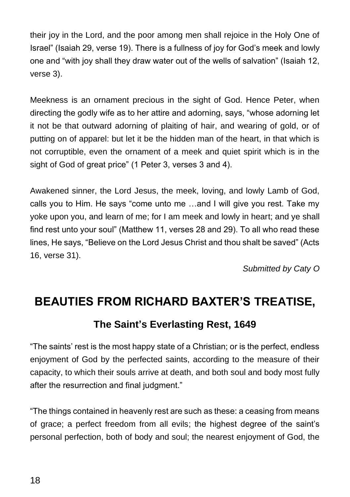their joy in the Lord, and the poor among men shall rejoice in the Holy One of Israel" (Isaiah 29, verse 19). There is a fullness of joy for God's meek and lowly one and "with joy shall they draw water out of the wells of salvation" (Isaiah 12, verse 3).

Meekness is an ornament precious in the sight of God. Hence Peter, when directing the godly wife as to her attire and adorning, says, "whose adorning let it not be that outward adorning of plaiting of hair, and wearing of gold, or of putting on of apparel: but let it be the hidden man of the heart, in that which is not corruptible, even the ornament of a meek and quiet spirit which is in the sight of God of great price" (1 Peter 3, verses 3 and 4).

Awakened sinner, the Lord Jesus, the meek, loving, and lowly Lamb of God, calls you to Him. He says "come unto me …and I will give you rest. Take my yoke upon you, and learn of me; for I am meek and lowly in heart; and ye shall find rest unto your soul" (Matthew 11, verses 28 and 29). To all who read these lines, He says, "Believe on the Lord Jesus Christ and thou shalt be saved" (Acts 16, verse 31).

*Submitted by Caty O*

## **BEAUTIES FROM RICHARD BAXTER'S TREATISE,**

### **The Saint's Everlasting Rest, 1649**

"The saints' rest is the most happy state of a Christian; or is the perfect, endless enjoyment of God by the perfected saints, according to the measure of their capacity, to which their souls arrive at death, and both soul and body most fully after the resurrection and final judgment."

"The things contained in heavenly rest are such as these: a ceasing from means of grace; a perfect freedom from all evils; the highest degree of the saint's personal perfection, both of body and soul; the nearest enjoyment of God, the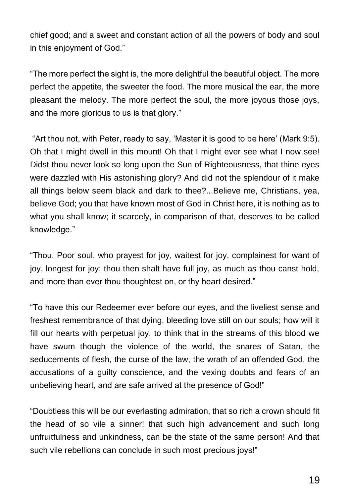chief good; and a sweet and constant action of all the powers of body and soul in this enjoyment of God."

"The more perfect the sight is, the more delightful the beautiful object. The more perfect the appetite, the sweeter the food. The more musical the ear, the more pleasant the melody. The more perfect the soul, the more joyous those joys, and the more glorious to us is that glory."

"Art thou not, with Peter, ready to say, 'Master it is good to be here' (Mark 9:5). Oh that I might dwell in this mount! Oh that I might ever see what I now see! Didst thou never look so long upon the Sun of Righteousness, that thine eyes were dazzled with His astonishing glory? And did not the splendour of it make all things below seem black and dark to thee?...Believe me, Christians, yea, believe God; you that have known most of God in Christ here, it is nothing as to what you shall know; it scarcely, in comparison of that, deserves to be called knowledge."

"Thou. Poor soul, who prayest for joy, waitest for joy, complainest for want of joy, longest for joy; thou then shalt have full joy, as much as thou canst hold, and more than ever thou thoughtest on, or thy heart desired."

"To have this our Redeemer ever before our eyes, and the liveliest sense and freshest remembrance of that dying, bleeding love still on our souls; how will it fill our hearts with perpetual joy, to think that in the streams of this blood we have swum though the violence of the world, the snares of Satan, the seducements of flesh, the curse of the law, the wrath of an offended God, the accusations of a guilty conscience, and the vexing doubts and fears of an unbelieving heart, and are safe arrived at the presence of God!"

"Doubtless this will be our everlasting admiration, that so rich a crown should fit the head of so vile a sinner! that such high advancement and such long unfruitfulness and unkindness, can be the state of the same person! And that such vile rebellions can conclude in such most precious joys!"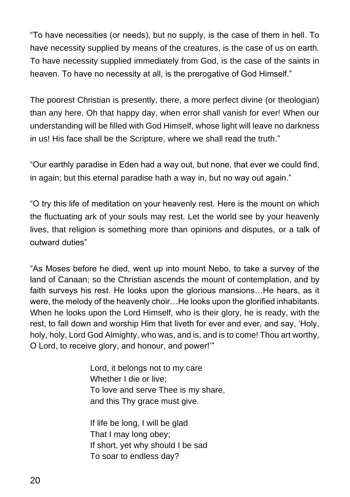"To have necessities (or needs), but no supply, is the case of them in hell. To have necessity supplied by means of the creatures, is the case of us on earth. To have necessity supplied immediately from God, is the case of the saints in heaven. To have no necessity at all, is the prerogative of God Himself."

The poorest Christian is presently, there, a more perfect divine (or theologian) than any here. Oh that happy day, when error shall vanish for ever! When our understanding will be filled with God Himself, whose light will leave no darkness in us! His face shall be the Scripture, where we shall read the truth."

"Our earthly paradise in Eden had a way out, but none, that ever we could find, in again; but this eternal paradise hath a way in, but no way out again."

"O try this life of meditation on your heavenly rest. Here is the mount on which the fluctuating ark of your souls may rest. Let the world see by your heavenly lives, that religion is something more than opinions and disputes, or a talk of outward duties"

"As Moses before he died, went up into mount Nebo, to take a survey of the land of Canaan; so the Christian ascends the mount of contemplation, and by faith surveys his rest. He looks upon the glorious mansions…He hears, as it were, the melody of the heavenly choir…He looks upon the glorified inhabitants. When he looks upon the Lord Himself, who is their glory, he is ready, with the rest, to fall down and worship Him that liveth for ever and ever, and say, 'Holy, holy, holy, Lord God Almighty, who was, and is, and is to come! Thou art worthy, O Lord, to receive glory, and honour, and power!'"

> Lord, it belongs not to my care Whether I die or live; To love and serve Thee is my share, and this Thy grace must give.

If life be long, I will be glad That I may long obey; If short, yet why should I be sad To soar to endless day?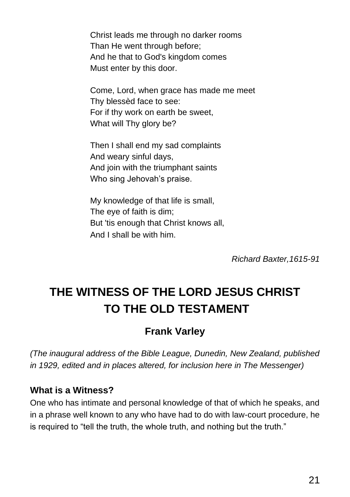Christ leads me through no darker rooms Than He went through before; And he that to God's kingdom comes Must enter by this door.

Come, Lord, when grace has made me meet Thy blessèd face to see: For if thy work on earth be sweet, What will Thy glory be?

Then I shall end my sad complaints And weary sinful days, And join with the triumphant saints Who sing Jehovah's praise.

My knowledge of that life is small, The eye of faith is dim; But 'tis enough that Christ knows all, And I shall be with him.

*Richard Baxter,1615-91*

## **THE WITNESS OF THE LORD JESUS CHRIST TO THE OLD TESTAMENT**

### **Frank Varley**

*(The inaugural address of the Bible League, Dunedin, New Zealand, published in 1929, edited and in places altered, for inclusion here in The Messenger)*

#### **What is a Witness?**

One who has intimate and personal knowledge of that of which he speaks, and in a phrase well known to any who have had to do with law-court procedure, he is required to "tell the truth, the whole truth, and nothing but the truth."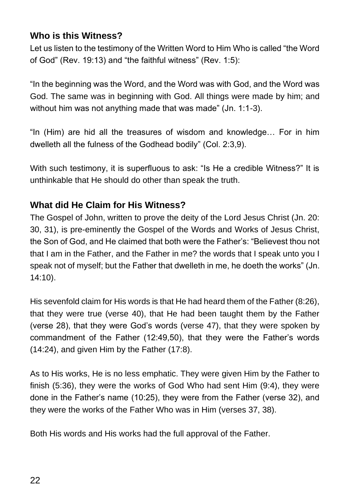### **Who is this Witness?**

Let us listen to the testimony of the Written Word to Him Who is called "the Word of God" (Rev. 19:13) and "the faithful witness" (Rev. 1:5):

"In the beginning was the Word, and the Word was with God, and the Word was God. The same was in beginning with God. All things were made by him; and without him was not anything made that was made" (Jn. 1:1-3).

"In (Him) are hid all the treasures of wisdom and knowledge… For in him dwelleth all the fulness of the Godhead bodily" (Col. 2:3,9).

With such testimony, it is superfluous to ask: "Is He a credible Witness?" It is unthinkable that He should do other than speak the truth.

#### **What did He Claim for His Witness?**

The Gospel of John, written to prove the deity of the Lord Jesus Christ (Jn. 20: 30, 31), is pre-eminently the Gospel of the Words and Works of Jesus Christ, the Son of God, and He claimed that both were the Father's: "Believest thou not that I am in the Father, and the Father in me? the words that I speak unto you I speak not of myself; but the Father that dwelleth in me, he doeth the works" (Jn. 14:10).

His sevenfold claim for His words is that He had heard them of the Father (8:26), that they were true (verse 40), that He had been taught them by the Father (verse 28), that they were God's words (verse 47), that they were spoken by commandment of the Father (12:49,50), that they were the Father's words (14:24), and given Him by the Father (17:8).

As to His works, He is no less emphatic. They were given Him by the Father to finish (5:36), they were the works of God Who had sent Him (9:4), they were done in the Father's name (10:25), they were from the Father (verse 32), and they were the works of the Father Who was in Him (verses 37, 38).

Both His words and His works had the full approval of the Father.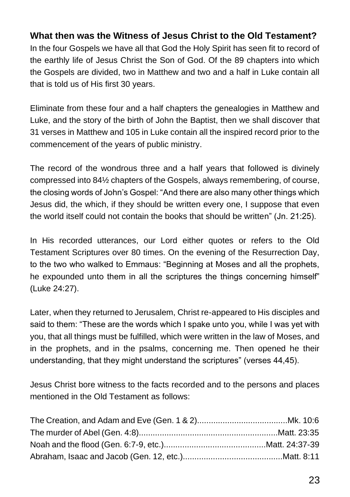### **What then was the Witness of Jesus Christ to the Old Testament?**

In the four Gospels we have all that God the Holy Spirit has seen fit to record of the earthly life of Jesus Christ the Son of God. Of the 89 chapters into which the Gospels are divided, two in Matthew and two and a half in Luke contain all that is told us of His first 30 years.

Eliminate from these four and a half chapters the genealogies in Matthew and Luke, and the story of the birth of John the Baptist, then we shall discover that 31 verses in Matthew and 105 in Luke contain all the inspired record prior to the commencement of the years of public ministry.

The record of the wondrous three and a half years that followed is divinely compressed into 84½ chapters of the Gospels, always remembering, of course, the closing words of John's Gospel: "And there are also many other things which Jesus did, the which, if they should be written every one, I suppose that even the world itself could not contain the books that should be written" (Jn. 21:25).

In His recorded utterances, our Lord either quotes or refers to the Old Testament Scriptures over 80 times. On the evening of the Resurrection Day, to the two who walked to Emmaus: "Beginning at Moses and all the prophets, he expounded unto them in all the scriptures the things concerning himself" (Luke 24:27).

Later, when they returned to Jerusalem, Christ re-appeared to His disciples and said to them: "These are the words which I spake unto you, while I was yet with you, that all things must be fulfilled, which were written in the law of Moses, and in the prophets, and in the psalms, concerning me. Then opened he their understanding, that they might understand the scriptures" (verses 44,45).

Jesus Christ bore witness to the facts recorded and to the persons and places mentioned in the Old Testament as follows: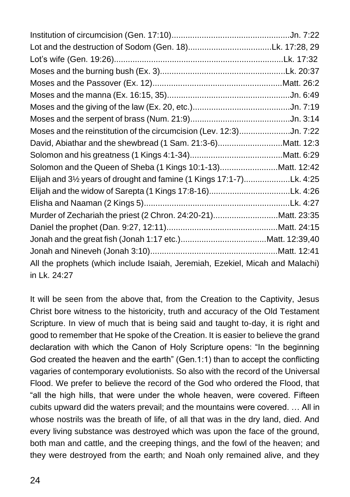| Moses and the reinstitution of the circumcision (Lev. 12:3)Jn. 7:22           |  |
|-------------------------------------------------------------------------------|--|
| David, Abiathar and the shewbread (1 Sam. 21:3-6)Matt. 12:3                   |  |
|                                                                               |  |
| Solomon and the Queen of Sheba (1 Kings 10:1-13)Matt. 12:42                   |  |
| Elijah and 31/2 years of drought and famine (1 Kings 17:1-7)Lk. 4:25          |  |
|                                                                               |  |
|                                                                               |  |
| Murder of Zechariah the priest (2 Chron. 24:20-21)Matt. 23:35                 |  |
|                                                                               |  |
|                                                                               |  |
|                                                                               |  |
| All the prophets (which include Isaiah, Jeremiah, Ezekiel, Micah and Malachi) |  |
| in Lk. 24:27                                                                  |  |

It will be seen from the above that, from the Creation to the Captivity, Jesus Christ bore witness to the historicity, truth and accuracy of the Old Testament Scripture. In view of much that is being said and taught to-day, it is right and good to remember that He spoke of the Creation. It is easier to believe the grand declaration with which the Canon of Holy Scripture opens: "In the beginning God created the heaven and the earth" (Gen.1:1) than to accept the conflicting vagaries of contemporary evolutionists. So also with the record of the Universal Flood. We prefer to believe the record of the God who ordered the Flood, that "all the high hills, that were under the whole heaven, were covered. Fifteen cubits upward did the waters prevail; and the mountains were covered. … All in whose nostrils was the breath of life, of all that was in the dry land, died. And every living substance was destroyed which was upon the face of the ground, both man and cattle, and the creeping things, and the fowl of the heaven; and they were destroyed from the earth; and Noah only remained alive, and they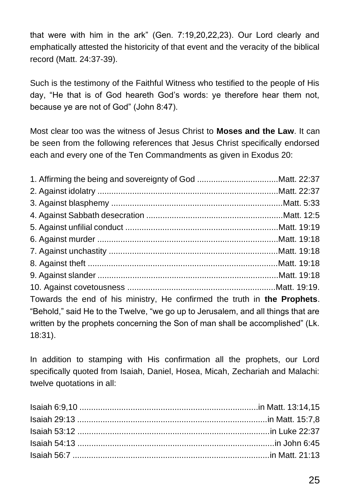that were with him in the ark" (Gen. 7:19,20,22,23). Our Lord clearly and emphatically attested the historicity of that event and the veracity of the biblical record (Matt. 24:37-39).

Such is the testimony of the Faithful Witness who testified to the people of His day, "He that is of God heareth God's words: ye therefore hear them not, because ye are not of God" (John 8:47).

Most clear too was the witness of Jesus Christ to **Moses and the Law**. It can be seen from the following references that Jesus Christ specifically endorsed each and every one of the Ten Commandments as given in Exodus 20:

Towards the end of his ministry, He confirmed the truth in **the Prophets**. "Behold," said He to the Twelve, "we go up to Jerusalem, and all things that are written by the prophets concerning the Son of man shall be accomplished" (Lk. 18:31).

In addition to stamping with His confirmation all the prophets, our Lord specifically quoted from Isaiah, Daniel, Hosea, Micah, Zechariah and Malachi: twelve quotations in all: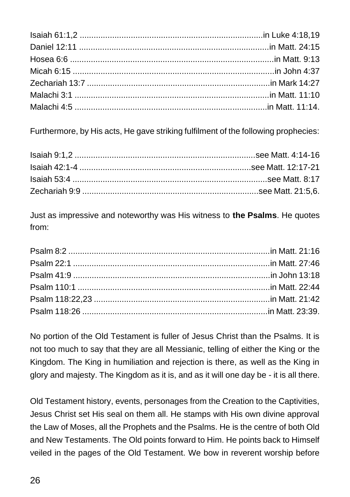Furthermore, by His acts, He gave striking fulfilment of the following prophecies:

Just as impressive and noteworthy was His witness to **the Psalms**. He quotes from:

No portion of the Old Testament is fuller of Jesus Christ than the Psalms. It is not too much to say that they are all Messianic, telling of either the King or the Kingdom. The King in humiliation and rejection is there, as well as the King in glory and majesty. The Kingdom as it is, and as it will one day be - it is all there.

Old Testament history, events, personages from the Creation to the Captivities, Jesus Christ set His seal on them all. He stamps with His own divine approval the Law of Moses, all the Prophets and the Psalms. He is the centre of both Old and New Testaments. The Old points forward to Him. He points back to Himself veiled in the pages of the Old Testament. We bow in reverent worship before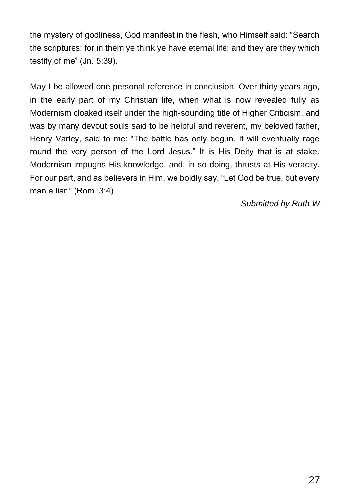the mystery of godliness, God manifest in the flesh, who Himself said: "Search the scriptures; for in them ye think ye have eternal life: and they are they which testify of me" (Jn. 5:39).

May I be allowed one personal reference in conclusion. Over thirty years ago, in the early part of my Christian life, when what is now revealed fully as Modernism cloaked itself under the high-sounding title of Higher Criticism, and was by many devout souls said to be helpful and reverent, my beloved father, Henry Varley, said to me: "The battle has only begun. It will eventually rage round the very person of the Lord Jesus." It is His Deity that is at stake. Modernism impugns His knowledge, and, in so doing, thrusts at His veracity. For our part, and as believers in Him, we boldly say, "Let God be true, but every man a liar." (Rom. 3:4).

*Submitted by Ruth W*